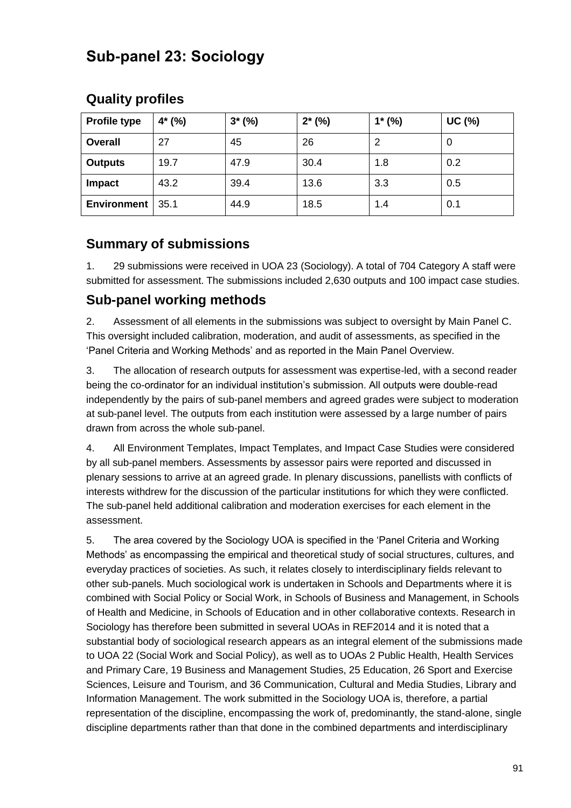# **Sub-panel 23: Sociology**

## **Quality profiles**

| <b>Profile type</b> | $4*(\%)$ | $3*(\%)$ | $2*(\%)$ | $1*(\%)$ | <b>UC (%)</b> |
|---------------------|----------|----------|----------|----------|---------------|
| <b>Overall</b>      | 27       | 45       | 26       |          | 0             |
| <b>Outputs</b>      | 19.7     | 47.9     | 30.4     | 1.8      | 0.2           |
| Impact              | 43.2     | 39.4     | 13.6     | 3.3      | 0.5           |
| <b>Environment</b>  | 35.1     | 44.9     | 18.5     | 1.4      | 0.1           |

# **Summary of submissions**

1. 29 submissions were received in UOA 23 (Sociology). A total of 704 Category A staff were submitted for assessment. The submissions included 2,630 outputs and 100 impact case studies.

#### **Sub-panel working methods**

2. Assessment of all elements in the submissions was subject to oversight by Main Panel C. This oversight included calibration, moderation, and audit of assessments, as specified in the 'Panel Criteria and Working Methods' and as reported in the Main Panel Overview.

3. The allocation of research outputs for assessment was expertise-led, with a second reader being the co-ordinator for an individual institution's submission. All outputs were double-read independently by the pairs of sub-panel members and agreed grades were subject to moderation at sub-panel level. The outputs from each institution were assessed by a large number of pairs drawn from across the whole sub-panel.

4. All Environment Templates, Impact Templates, and Impact Case Studies were considered by all sub-panel members. Assessments by assessor pairs were reported and discussed in plenary sessions to arrive at an agreed grade. In plenary discussions, panellists with conflicts of interests withdrew for the discussion of the particular institutions for which they were conflicted. The sub-panel held additional calibration and moderation exercises for each element in the assessment.

5. The area covered by the Sociology UOA is specified in the 'Panel Criteria and Working Methods' as encompassing the empirical and theoretical study of social structures, cultures, and everyday practices of societies. As such, it relates closely to interdisciplinary fields relevant to other sub-panels. Much sociological work is undertaken in Schools and Departments where it is combined with Social Policy or Social Work, in Schools of Business and Management, in Schools of Health and Medicine, in Schools of Education and in other collaborative contexts. Research in Sociology has therefore been submitted in several UOAs in REF2014 and it is noted that a substantial body of sociological research appears as an integral element of the submissions made to UOA 22 (Social Work and Social Policy), as well as to UOAs 2 Public Health, Health Services and Primary Care, 19 Business and Management Studies, 25 Education, 26 Sport and Exercise Sciences, Leisure and Tourism, and 36 Communication, Cultural and Media Studies, Library and Information Management. The work submitted in the Sociology UOA is, therefore, a partial representation of the discipline, encompassing the work of, predominantly, the stand-alone, single discipline departments rather than that done in the combined departments and interdisciplinary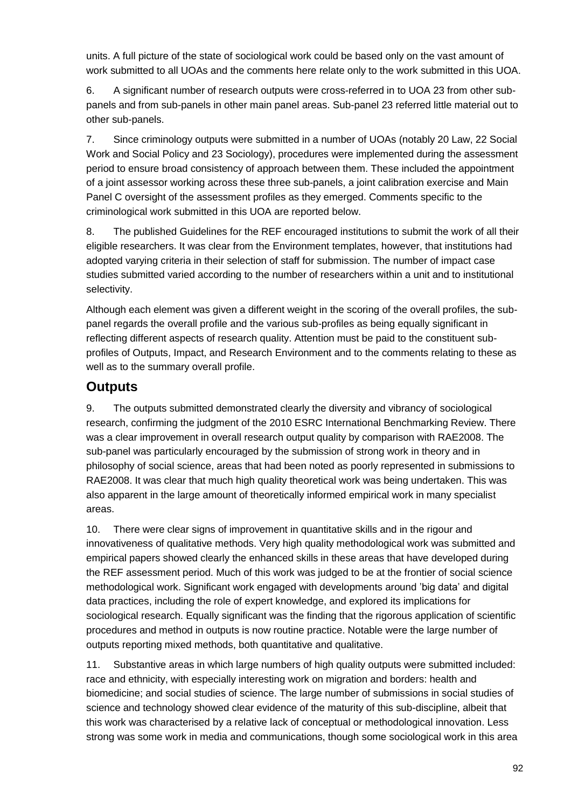units. A full picture of the state of sociological work could be based only on the vast amount of work submitted to all UOAs and the comments here relate only to the work submitted in this UOA.

6. A significant number of research outputs were cross-referred in to UOA 23 from other subpanels and from sub-panels in other main panel areas. Sub-panel 23 referred little material out to other sub-panels.

7. Since criminology outputs were submitted in a number of UOAs (notably 20 Law, 22 Social Work and Social Policy and 23 Sociology), procedures were implemented during the assessment period to ensure broad consistency of approach between them. These included the appointment of a joint assessor working across these three sub-panels, a joint calibration exercise and Main Panel C oversight of the assessment profiles as they emerged. Comments specific to the criminological work submitted in this UOA are reported below.

8. The published Guidelines for the REF encouraged institutions to submit the work of all their eligible researchers. It was clear from the Environment templates, however, that institutions had adopted varying criteria in their selection of staff for submission. The number of impact case studies submitted varied according to the number of researchers within a unit and to institutional selectivity.

Although each element was given a different weight in the scoring of the overall profiles, the subpanel regards the overall profile and the various sub-profiles as being equally significant in reflecting different aspects of research quality. Attention must be paid to the constituent subprofiles of Outputs, Impact, and Research Environment and to the comments relating to these as well as to the summary overall profile.

## **Outputs**

9. The outputs submitted demonstrated clearly the diversity and vibrancy of sociological research, confirming the judgment of the 2010 ESRC International Benchmarking Review. There was a clear improvement in overall research output quality by comparison with RAE2008. The sub-panel was particularly encouraged by the submission of strong work in theory and in philosophy of social science, areas that had been noted as poorly represented in submissions to RAE2008. It was clear that much high quality theoretical work was being undertaken. This was also apparent in the large amount of theoretically informed empirical work in many specialist areas.

10. There were clear signs of improvement in quantitative skills and in the rigour and innovativeness of qualitative methods. Very high quality methodological work was submitted and empirical papers showed clearly the enhanced skills in these areas that have developed during the REF assessment period. Much of this work was judged to be at the frontier of social science methodological work. Significant work engaged with developments around 'big data' and digital data practices, including the role of expert knowledge, and explored its implications for sociological research. Equally significant was the finding that the rigorous application of scientific procedures and method in outputs is now routine practice. Notable were the large number of outputs reporting mixed methods, both quantitative and qualitative.

11. Substantive areas in which large numbers of high quality outputs were submitted included: race and ethnicity, with especially interesting work on migration and borders: health and biomedicine; and social studies of science. The large number of submissions in social studies of science and technology showed clear evidence of the maturity of this sub-discipline, albeit that this work was characterised by a relative lack of conceptual or methodological innovation. Less strong was some work in media and communications, though some sociological work in this area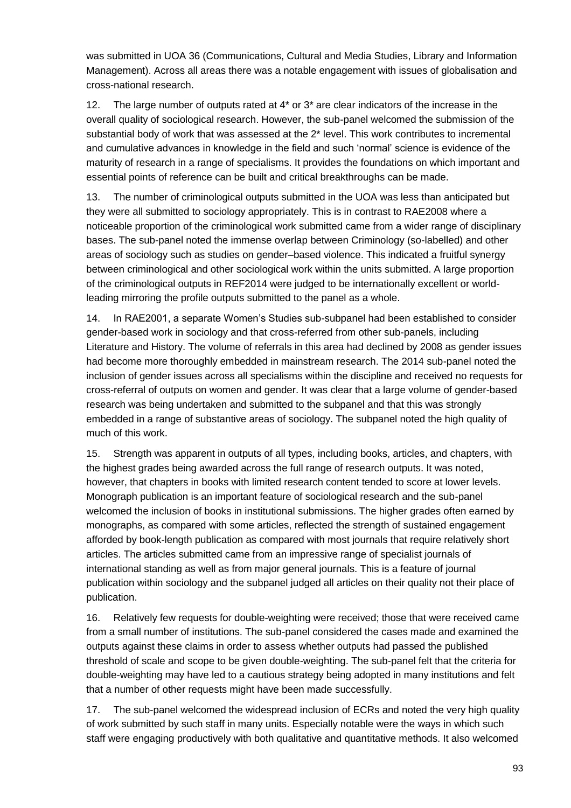was submitted in UOA 36 (Communications, Cultural and Media Studies, Library and Information Management). Across all areas there was a notable engagement with issues of globalisation and cross-national research.

12. The large number of outputs rated at 4\* or 3\* are clear indicators of the increase in the overall quality of sociological research. However, the sub-panel welcomed the submission of the substantial body of work that was assessed at the 2\* level. This work contributes to incremental and cumulative advances in knowledge in the field and such 'normal' science is evidence of the maturity of research in a range of specialisms. It provides the foundations on which important and essential points of reference can be built and critical breakthroughs can be made.

13. The number of criminological outputs submitted in the UOA was less than anticipated but they were all submitted to sociology appropriately. This is in contrast to RAE2008 where a noticeable proportion of the criminological work submitted came from a wider range of disciplinary bases. The sub-panel noted the immense overlap between Criminology (so-labelled) and other areas of sociology such as studies on gender–based violence. This indicated a fruitful synergy between criminological and other sociological work within the units submitted. A large proportion of the criminological outputs in REF2014 were judged to be internationally excellent or worldleading mirroring the profile outputs submitted to the panel as a whole.

14. In RAE2001, a separate Women's Studies sub-subpanel had been established to consider gender-based work in sociology and that cross-referred from other sub-panels, including Literature and History. The volume of referrals in this area had declined by 2008 as gender issues had become more thoroughly embedded in mainstream research. The 2014 sub-panel noted the inclusion of gender issues across all specialisms within the discipline and received no requests for cross-referral of outputs on women and gender. It was clear that a large volume of gender-based research was being undertaken and submitted to the subpanel and that this was strongly embedded in a range of substantive areas of sociology. The subpanel noted the high quality of much of this work.

15. Strength was apparent in outputs of all types, including books, articles, and chapters, with the highest grades being awarded across the full range of research outputs. It was noted, however, that chapters in books with limited research content tended to score at lower levels. Monograph publication is an important feature of sociological research and the sub-panel welcomed the inclusion of books in institutional submissions. The higher grades often earned by monographs, as compared with some articles, reflected the strength of sustained engagement afforded by book-length publication as compared with most journals that require relatively short articles. The articles submitted came from an impressive range of specialist journals of international standing as well as from major general journals. This is a feature of journal publication within sociology and the subpanel judged all articles on their quality not their place of publication.

16. Relatively few requests for double-weighting were received; those that were received came from a small number of institutions. The sub-panel considered the cases made and examined the outputs against these claims in order to assess whether outputs had passed the published threshold of scale and scope to be given double-weighting. The sub-panel felt that the criteria for double-weighting may have led to a cautious strategy being adopted in many institutions and felt that a number of other requests might have been made successfully.

17. The sub-panel welcomed the widespread inclusion of ECRs and noted the very high quality of work submitted by such staff in many units. Especially notable were the ways in which such staff were engaging productively with both qualitative and quantitative methods. It also welcomed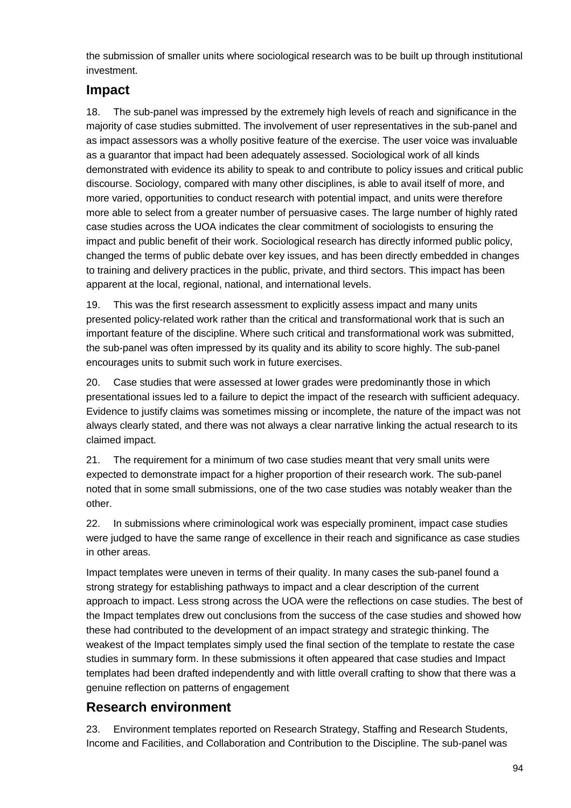the submission of smaller units where sociological research was to be built up through institutional investment.

#### **Impact**

18. The sub-panel was impressed by the extremely high levels of reach and significance in the majority of case studies submitted. The involvement of user representatives in the sub-panel and as impact assessors was a wholly positive feature of the exercise. The user voice was invaluable as a guarantor that impact had been adequately assessed. Sociological work of all kinds demonstrated with evidence its ability to speak to and contribute to policy issues and critical public discourse. Sociology, compared with many other disciplines, is able to avail itself of more, and more varied, opportunities to conduct research with potential impact, and units were therefore more able to select from a greater number of persuasive cases. The large number of highly rated case studies across the UOA indicates the clear commitment of sociologists to ensuring the impact and public benefit of their work. Sociological research has directly informed public policy, changed the terms of public debate over key issues, and has been directly embedded in changes to training and delivery practices in the public, private, and third sectors. This impact has been apparent at the local, regional, national, and international levels.

19. This was the first research assessment to explicitly assess impact and many units presented policy-related work rather than the critical and transformational work that is such an important feature of the discipline. Where such critical and transformational work was submitted, the sub-panel was often impressed by its quality and its ability to score highly. The sub-panel encourages units to submit such work in future exercises.

20. Case studies that were assessed at lower grades were predominantly those in which presentational issues led to a failure to depict the impact of the research with sufficient adequacy. Evidence to justify claims was sometimes missing or incomplete, the nature of the impact was not always clearly stated, and there was not always a clear narrative linking the actual research to its claimed impact.

21. The requirement for a minimum of two case studies meant that very small units were expected to demonstrate impact for a higher proportion of their research work. The sub-panel noted that in some small submissions, one of the two case studies was notably weaker than the other.

22. In submissions where criminological work was especially prominent, impact case studies were judged to have the same range of excellence in their reach and significance as case studies in other areas.

Impact templates were uneven in terms of their quality. In many cases the sub-panel found a strong strategy for establishing pathways to impact and a clear description of the current approach to impact. Less strong across the UOA were the reflections on case studies. The best of the Impact templates drew out conclusions from the success of the case studies and showed how these had contributed to the development of an impact strategy and strategic thinking. The weakest of the Impact templates simply used the final section of the template to restate the case studies in summary form. In these submissions it often appeared that case studies and Impact templates had been drafted independently and with little overall crafting to show that there was a genuine reflection on patterns of engagement

#### **Research environment**

23. Environment templates reported on Research Strategy, Staffing and Research Students, Income and Facilities, and Collaboration and Contribution to the Discipline. The sub-panel was